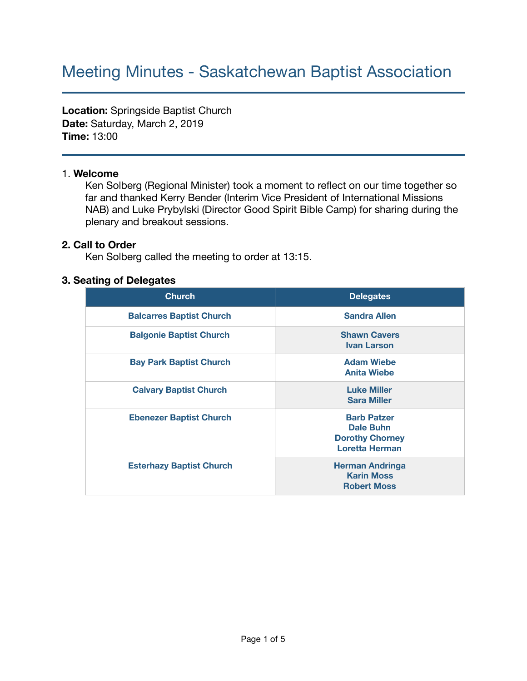# Meeting Minutes - Saskatchewan Baptist Association

**Location:** Springside Baptist Church **Date:** Saturday, March 2, 2019 **Time:** 13:00

#### 1. **Welcome**

Ken Solberg (Regional Minister) took a moment to reflect on our time together so far and thanked Kerry Bender (Interim Vice President of International Missions NAB) and Luke Prybylski (Director Good Spirit Bible Camp) for sharing during the plenary and breakout sessions.

#### **2. Call to Order**

Ken Solberg called the meeting to order at 13:15.

#### **3. Seating of Delegates**

| <b>Church</b>                   | <b>Delegates</b>                                                                          |
|---------------------------------|-------------------------------------------------------------------------------------------|
| <b>Balcarres Baptist Church</b> | <b>Sandra Allen</b>                                                                       |
| <b>Balgonie Baptist Church</b>  | <b>Shawn Cavers</b><br><b>Ivan Larson</b>                                                 |
| <b>Bay Park Baptist Church</b>  | <b>Adam Wiebe</b><br><b>Anita Wiebe</b>                                                   |
| <b>Calvary Baptist Church</b>   | <b>Luke Miller</b><br><b>Sara Miller</b>                                                  |
| <b>Ebenezer Baptist Church</b>  | <b>Barb Patzer</b><br><b>Dale Buhn</b><br><b>Dorothy Chorney</b><br><b>Loretta Herman</b> |
| <b>Esterhazy Baptist Church</b> | <b>Herman Andringa</b><br><b>Karin Moss</b><br><b>Robert Moss</b>                         |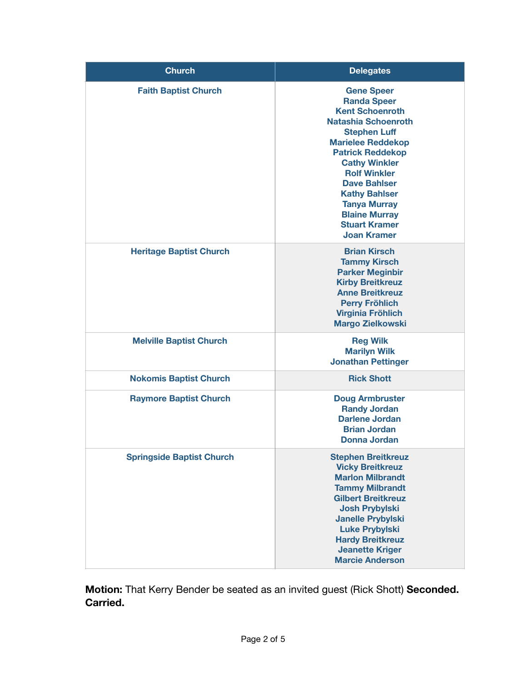| <b>Church</b>                    | <b>Delegates</b>                                                                                                                                                                                                                                                                                                                                                         |
|----------------------------------|--------------------------------------------------------------------------------------------------------------------------------------------------------------------------------------------------------------------------------------------------------------------------------------------------------------------------------------------------------------------------|
| <b>Faith Baptist Church</b>      | <b>Gene Speer</b><br><b>Randa Speer</b><br><b>Kent Schoenroth</b><br><b>Natashia Schoenroth</b><br><b>Stephen Luff</b><br><b>Marielee Reddekop</b><br><b>Patrick Reddekop</b><br><b>Cathy Winkler</b><br><b>Rolf Winkler</b><br><b>Dave Bahlser</b><br><b>Kathy Bahlser</b><br><b>Tanya Murray</b><br><b>Blaine Murray</b><br><b>Stuart Kramer</b><br><b>Joan Kramer</b> |
| <b>Heritage Baptist Church</b>   | <b>Brian Kirsch</b><br><b>Tammy Kirsch</b><br><b>Parker Meginbir</b><br><b>Kirby Breitkreuz</b><br><b>Anne Breitkreuz</b><br><b>Perry Fröhlich</b><br><b>Virginia Fröhlich</b><br><b>Margo Zielkowski</b>                                                                                                                                                                |
| <b>Melville Baptist Church</b>   | <b>Reg Wilk</b><br><b>Marilyn Wilk</b><br><b>Jonathan Pettinger</b>                                                                                                                                                                                                                                                                                                      |
| <b>Nokomis Baptist Church</b>    | <b>Rick Shott</b>                                                                                                                                                                                                                                                                                                                                                        |
| <b>Raymore Baptist Church</b>    | <b>Doug Armbruster</b><br><b>Randy Jordan</b><br><b>Darlene Jordan</b><br><b>Brian Jordan</b><br>Donna Jordan                                                                                                                                                                                                                                                            |
| <b>Springside Baptist Church</b> | <b>Stephen Breitkreuz</b><br><b>Vicky Breitkreuz</b><br><b>Marlon Milbrandt</b><br><b>Tammy Milbrandt</b><br><b>Gilbert Breitkreuz</b><br><b>Josh Prybylski</b><br><b>Janelle Prybylski</b><br><b>Luke Prybylski</b><br><b>Hardy Breitkreuz</b><br><b>Jeanette Kriger</b><br><b>Marcie Anderson</b>                                                                      |

**Motion:** That Kerry Bender be seated as an invited guest (Rick Shott) **Seconded. Carried.**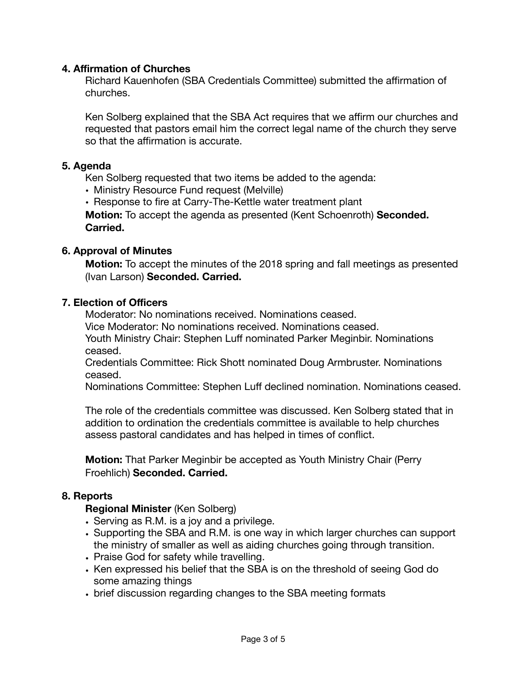## **4. Affirmation of Churches**

Richard Kauenhofen (SBA Credentials Committee) submitted the affirmation of churches.

Ken Solberg explained that the SBA Act requires that we affirm our churches and requested that pastors email him the correct legal name of the church they serve so that the affirmation is accurate.

#### **5. Agenda**

Ken Solberg requested that two items be added to the agenda:

- Ministry Resource Fund request (Melville)
- Response to fire at Carry-The-Kettle water treatment plant

**Motion:** To accept the agenda as presented (Kent Schoenroth) **Seconded. Carried.** 

#### **6. Approval of Minutes**

**Motion:** To accept the minutes of the 2018 spring and fall meetings as presented (Ivan Larson) **Seconded. Carried.** 

#### **7. Election of Officers**

Moderator: No nominations received. Nominations ceased.

Vice Moderator: No nominations received. Nominations ceased.

Youth Ministry Chair: Stephen Luff nominated Parker Meginbir. Nominations ceased.

Credentials Committee: Rick Shott nominated Doug Armbruster. Nominations ceased.

Nominations Committee: Stephen Luff declined nomination. Nominations ceased.

The role of the credentials committee was discussed. Ken Solberg stated that in addition to ordination the credentials committee is available to help churches assess pastoral candidates and has helped in times of conflict.

**Motion:** That Parker Meginbir be accepted as Youth Ministry Chair (Perry Froehlich) **Seconded. Carried.** 

#### **8. Reports**

**Regional Minister** (Ken Solberg)

- **•** Serving as R.M. is a joy and a privilege.
- **•** Supporting the SBA and R.M. is one way in which larger churches can support the ministry of smaller as well as aiding churches going through transition.
- **•** Praise God for safety while travelling.
- **•** Ken expressed his belief that the SBA is on the threshold of seeing God do some amazing things
- **•** brief discussion regarding changes to the SBA meeting formats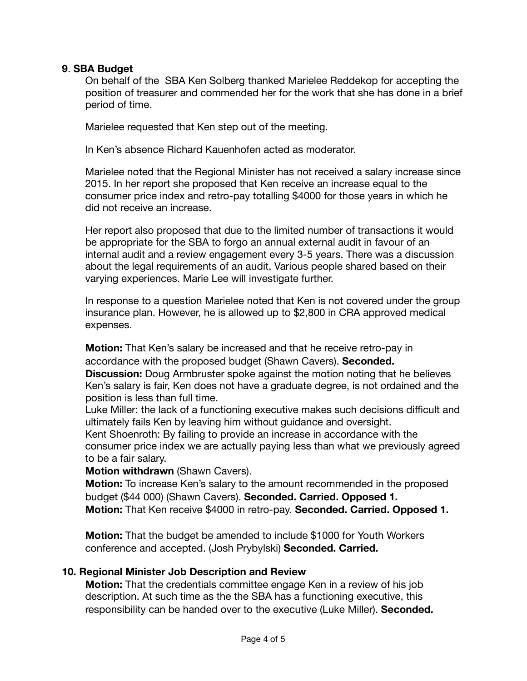### **9**. **SBA Budget**

On behalf of the SBA Ken Solberg thanked Marielee Reddekop for accepting the position of treasurer and commended her for the work that she has done in a brief period of time.

Marielee requested that Ken step out of the meeting.

In Ken's absence Richard Kauenhofen acted as moderator.

Marielee noted that the Regional Minister has not received a salary increase since 2015. In her report she proposed that Ken receive an increase equal to the consumer price index and retro-pay totalling \$4000 for those years in which he did not receive an increase.

Her report also proposed that due to the limited number of transactions it would be appropriate for the SBA to forgo an annual external audit in favour of an internal audit and a review engagement every 3-5 years. There was a discussion about the legal requirements of an audit. Various people shared based on their varying experiences. Marie Lee will investigate further.

In response to a question Marielee noted that Ken is not covered under the group insurance plan. However, he is allowed up to \$2,800 in CRA approved medical expenses.

**Motion:** That Ken's salary be increased and that he receive retro-pay in accordance with the proposed budget (Shawn Cavers). **Seconded.** 

**Discussion:** Doug Armbruster spoke against the motion noting that he believes Ken's salary is fair, Ken does not have a graduate degree, is not ordained and the position is less than full time.

Luke Miller: the lack of a functioning executive makes such decisions difficult and ultimately fails Ken by leaving him without guidance and oversight.

Kent Shoenroth: By failing to provide an increase in accordance with the consumer price index we are actually paying less than what we previously agreed to be a fair salary.

**Motion withdrawn** (Shawn Cavers).

**Motion:** To increase Ken's salary to the amount recommended in the proposed budget (\$44 000) (Shawn Cavers). **Seconded. Carried. Opposed 1. Motion:** That Ken receive \$4000 in retro-pay. **Seconded. Carried. Opposed 1.** 

**Motion:** That the budget be amended to include \$1000 for Youth Workers conference and accepted. (Josh Prybylski) **Seconded. Carried.** 

# **10. Regional Minister Job Description and Review**

**Motion:** That the credentials committee engage Ken in a review of his job description. At such time as the the SBA has a functioning executive, this responsibility can be handed over to the executive (Luke Miller). **Seconded.**